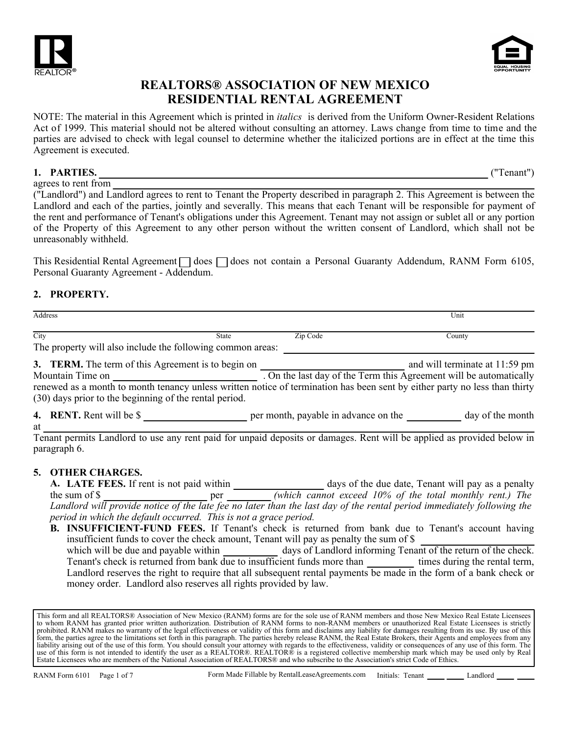



NOTE: The material in this Agreement which is printed in *italics* is derived from the Uniform Owner-Resident Relations Act of 1999. This material should not be altered without consulting an attorney. Laws change from time to time and the parties are advised to check with legal counsel to determine whether the italicized portions are in effect at the time this Agreement is executed.

#### **1. PARTIES.** ("Tenant")

agrees to rent from ("Landlord") and Landlord agrees to rent to Tenant the Property described in paragraph 2. This Agreement is between the Landlord and each of the parties, jointly and severally. This means that each Tenant will be responsible for payment of the rent and performance of Tenant's obligations under this Agreement. Tenant may not assign or sublet all or any portion of the Property of this Agreement to any other person without the written consent of Landlord, which shall not be unreasonably withheld.

This Residential Rental Agreement  $\Box$  does  $\Box$  does not contain a Personal Guaranty Addendum, RANM Form 6105, Personal Guaranty Agreement - Addendum.

#### **2. PROPERTY.**

at

| Address |       |                    | Unit                |
|---------|-------|--------------------|---------------------|
|         |       |                    |                     |
| City    | State | $\sim$<br>Zip Code | $\mathcal{L}$ ounty |

The property will also include the following common areas:

**3. TERM.** The term of this Agreement is to begin on **Fig. 2.1. In the case of the set of the set of the set of the set of the set of the set of the set of the set of the set of the set of the set of the set of the set of** Mountain Time on . On the last day of the Term this Agreement will be automatically renewed as a month to month tenancy unless written notice of termination has been sent by either party no less than thirty (30) days prior to the beginning of the rental period.

**4. RENT.** Rent will be \$

Tenant permits Landlord to use any rent paid for unpaid deposits or damages. Rent will be applied as provided below in paragraph 6.

#### **5. OTHER CHARGES.**

**LATE FEES.** If rent is not paid within \_\_\_\_\_\_\_\_\_\_\_\_\_\_\_\_\_\_\_\_\_\_ days of the due date, Tenant will pay as a penalty the sum of \$ *Landlord will provide notice of the late fee no later than the last day of the rental period immediately following the period in which the default occurred. This is not a grace period.* **A.**

**B. INSUFFICIENT-FUND FEES.** If Tenant's check is returned from bank due to Tenant's account having days of Landlord informing Tenant of the return of the check. Tenant's check is returned from bank due to insufficient funds more than times during the rental term, Landlord reserves the right to require that all subsequent rental payments be made in the form of a bank check or money order. Landlord also reserves all rights provided by law. insufficient funds to cover the check amount, Tenant will pay as penalty the sum of \$ which will be due and payable within

This form and all REALTORS® Association of New Mexico (RANM) forms are for the sole use of RANM members and those New Mexico Real Estate Licensees to whom RANM has granted prior written authorization. Distribution of RANM forms to non-RANM members or unauthorized Real Estate Licensees is strictly prohibited. RANM makes no warranty of the legal effectiveness or validity of this form and disclaims any liability for damages resulting from its use. By use of this form, the parties agree to the limitations set forth in this paragraph. The parties hereby release RANM, the Real Estate Brokers, their Agents and employees from any liability arising out of the use of this form. You should consult your attorney with regards to the effectiveness, validity or consequences of any use of this form. The<br>use of this form is not intended to identify the user Estate Licensees who are members of the National Association of REALTORS® and who subscribe to the Association's strict Code of Ethics.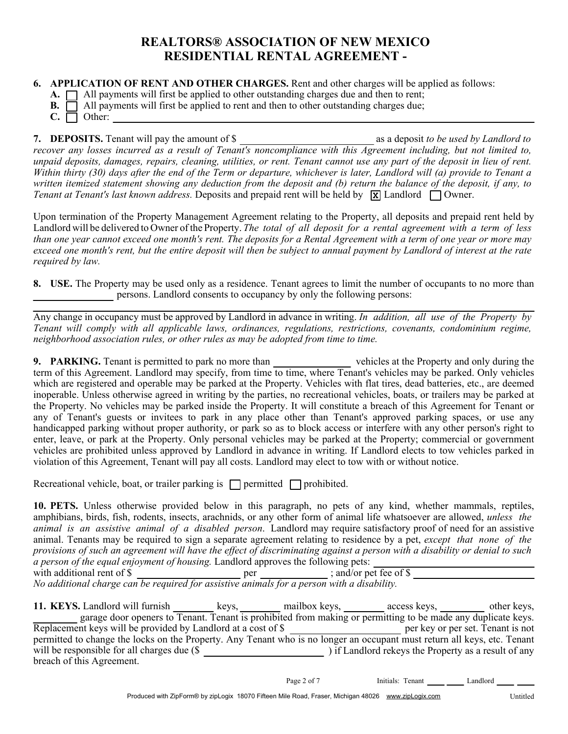**6. APPLICATION OF RENT AND OTHER CHARGES.** Rent and other charges will be applied as follows:

**A.**  $\Box$  All payments will first be applied to other outstanding charges due and then to rent;

- **B.**  $\Box$  All payments will first be applied to rent and then to other outstanding charges due;
- $C. \Box$  Other:

**7. DEPOSITS.** Tenant will pay the amount of \$ *recover any losses incurred as a result of Tenant's noncompliance with this Agreement including, but not limited to, unpaid deposits, damages, repairs, cleaning, utilities, or rent. Tenant cannot use any part of the deposit in lieu of rent. Within thirty (30) days after the end of the Term or departure, whichever is later, Landlord will (a) provide to Tenant a written itemized statement showing any deduction from the deposit and (b) return the balance of the deposit, if any, to Tenant at Tenant's last known address.* Deposits and prepaid rent will be held by  $\boxed{\mathbf{x}}$  Landlord  $\boxed{\phantom{a}}$  Owner.

Upon termination of the Property Management Agreement relating to the Property, all deposits and prepaid rent held by Landlord will be delivered to Owner of the Property. *The total of all deposit for a rental agreement with a term of less than one year cannot exceed one month's rent. The deposits for a Rental Agreement with a term of one year or more may exceed one month's rent, but the entire deposit will then be subject to annual payment by Landlord of interest at the rate required by law.*

**8. USE.** The Property may be used only as a residence. Tenant agrees to limit the number of occupants to no more than persons. Landlord consents to occupancy by only the following persons:

Any change in occupancy must be approved by Landlord in advance in writing. *In addition, all use of the Property by Tenant will comply with all applicable laws, ordinances, regulations, restrictions, covenants, condominium regime, neighborhood association rules, or other rules as may be adopted from time to time.*

**9. PARKING.** Tenant is permitted to park no more than vehicles at the Property and only during the term of this Agreement. Landlord may specify, from time to time, where Tenant's vehicles may be parked. Only vehicles which are registered and operable may be parked at the Property. Vehicles with flat tires, dead batteries, etc., are deemed inoperable. Unless otherwise agreed in writing by the parties, no recreational vehicles, boats, or trailers may be parked at the Property. No vehicles may be parked inside the Property. It will constitute a breach of this Agreement for Tenant or any of Tenant's guests or invitees to park in any place other than Tenant's approved parking spaces, or use any handicapped parking without proper authority, or park so as to block access or interfere with any other person's right to enter, leave, or park at the Property. Only personal vehicles may be parked at the Property; commercial or government vehicles are prohibited unless approved by Landlord in advance in writing. If Landlord elects to tow vehicles parked in violation of this Agreement, Tenant will pay all costs. Landlord may elect to tow with or without notice.

Recreational vehicle, boat, or trailer parking is  $\Box$  permitted  $\Box$  prohibited.

**10. PETS.** Unless otherwise provided below in this paragraph, no pets of any kind, whether mammals, reptiles, amphibians, birds, fish, rodents, insects, arachnids, or any other form of animal life whatsoever are allowed, *unless the animal is an assistive animal of a disabled person*. Landlord may require satisfactory proof of need for an assistive animal. Tenants may be required to sign a separate agreement relating to residence by a pet, *except that none of the provisions of such an agreement will have the effect of discriminating against a person with a disability or denial to such a person of the equal enjoyment of housing.* Landlord approves the following pets:

| with additional rent of \$                                                                 | per | ; and/or pet fee of $\$$ |  |
|--------------------------------------------------------------------------------------------|-----|--------------------------|--|
| No additional charge can be required for assistive animals for a person with a disability. |     |                          |  |

| 11. KEYS. Landlord will furnish                                                                                          | keys. | mailbox keys, | access keys,                                                                                                 | other keys, |
|--------------------------------------------------------------------------------------------------------------------------|-------|---------------|--------------------------------------------------------------------------------------------------------------|-------------|
|                                                                                                                          |       |               | garage door openers to Tenant. Tenant is prohibited from making or permitting to be made any duplicate keys. |             |
| Replacement keys will be provided by Landlord at a cost of \$                                                            |       |               | per key or per set. Tenant is not                                                                            |             |
| permitted to change the locks on the Property. Any Tenant who is no longer an occupant must return all keys, etc. Tenant |       |               |                                                                                                              |             |
| will be responsible for all charges due (\$                                                                              |       |               | if Landlord rekeys the Property as a result of any                                                           |             |
| breach of this Agreement.                                                                                                |       |               |                                                                                                              |             |

Page 2 of 7 Initials: Tenant 1.1 Landlord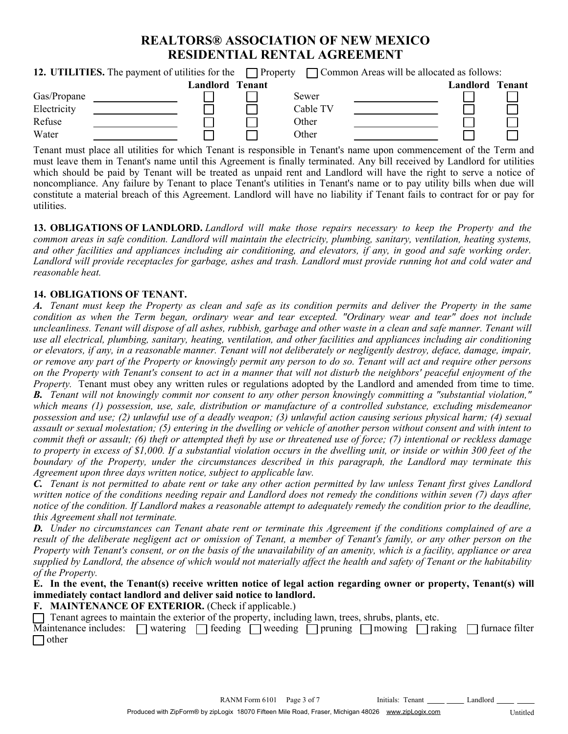| 12. UTILITIES. The payment of utilities for the $\Box$ Property<br>□ Common Areas will be allocated as follows: |  |                        |          |  |          |        |
|-----------------------------------------------------------------------------------------------------------------|--|------------------------|----------|--|----------|--------|
|                                                                                                                 |  | <b>Landlord Tenant</b> |          |  | Landlord | Tenant |
| Gas/Propane                                                                                                     |  |                        | Sewer    |  |          |        |
| Electricity                                                                                                     |  |                        | Cable TV |  |          |        |
| Refuse                                                                                                          |  |                        | Other    |  |          |        |
| Water                                                                                                           |  |                        | Other    |  |          |        |

Tenant must place all utilities for which Tenant is responsible in Tenant's name upon commencement of the Term and must leave them in Tenant's name until this Agreement is finally terminated. Any bill received by Landlord for utilities which should be paid by Tenant will be treated as unpaid rent and Landlord will have the right to serve a notice of noncompliance. Any failure by Tenant to place Tenant's utilities in Tenant's name or to pay utility bills when due will constitute a material breach of this Agreement. Landlord will have no liability if Tenant fails to contract for or pay for utilities.

**13. OBLIGATIONS OF LANDLORD.** *Landlord will make those repairs necessary to keep the Property and the common areas in safe condition. Landlord will maintain the electricity, plumbing, sanitary, ventilation, heating systems, and other facilities and appliances including air conditioning, and elevators, if any, in good and safe working order. Landlord will provide receptacles for garbage, ashes and trash. Landlord must provide running hot and cold water and reasonable heat.*

#### **14. OBLIGATIONS OF TENANT.**

*A. Tenant must keep the Property as clean and safe as its condition permits and deliver the Property in the same condition as when the Term began, ordinary wear and tear excepted. "Ordinary wear and tear" does not include uncleanliness. Tenant will dispose of all ashes, rubbish, garbage and other waste in a clean and safe manner. Tenant will use all electrical, plumbing, sanitary, heating, ventilation, and other facilities and appliances including air conditioning or elevators, if any, in a reasonable manner. Tenant will not deliberately or negligently destroy, deface, damage, impair, or remove any part of the Property or knowingly permit any person to do so. Tenant will act and require other persons on the Property with Tenant's consent to act in a manner that will not disturb the neighbors' peaceful enjoyment of the Property.* Tenant must obey any written rules or regulations adopted by the Landlord and amended from time to time. *B. Tenant will not knowingly commit nor consent to any other person knowingly committing a "substantial violation," which means (1) possession, use, sale, distribution or manufacture of a controlled substance, excluding misdemeanor possession and use; (2) unlawful use of a deadly weapon; (3) unlawful action causing serious physical harm; (4) sexual assault or sexual molestation; (5) entering in the dwelling or vehicle of another person without consent and with intent to commit theft or assault; (6) theft or attempted theft by use or threatened use of force; (7) intentional or reckless damage to property in excess of \$1,000. If a substantial violation occurs in the dwelling unit, or inside or within 300 feet of the boundary of the Property, under the circumstances described in this paragraph, the Landlord may terminate this Agreement upon three days written notice, subject to applicable law.*

*C. Tenant is not permitted to abate rent or take any other action permitted by law unless Tenant first gives Landlord written notice of the conditions needing repair and Landlord does not remedy the conditions within seven (7) days after notice of the condition. If Landlord makes a reasonable attempt to adequately remedy the condition prior to the deadline, this Agreement shall not terminate.*

*D. Under no circumstances can Tenant abate rent or terminate this Agreement if the conditions complained of are a result of the deliberate negligent act or omission of Tenant, a member of Tenant's family, or any other person on the Property with Tenant's consent, or on the basis of the unavailability of an amenity, which is a facility, appliance or area supplied by Landlord, the absence of which would not materially affect the health and safety of Tenant or the habitability of the Property.*

**E. In the event, the Tenant(s) receive written notice of legal action regarding owner or property, Tenant(s) will immediately contact landlord and deliver said notice to landlord.**

#### **F. MAINTENANCE OF EXTERIOR.** (Check if applicable.)

 $\Box$  Tenant agrees to maintain the exterior of the property, including lawn, trees, shrubs, plants, etc.

| Maintenance includes: $\Box$ watering $\Box$ feeding $\Box$ weeding $\Box$ pruning $\Box$ mowing $\Box$ raking $\Box$ furnace filter |  |  |  |  |
|--------------------------------------------------------------------------------------------------------------------------------------|--|--|--|--|
| $\Box$ other                                                                                                                         |  |  |  |  |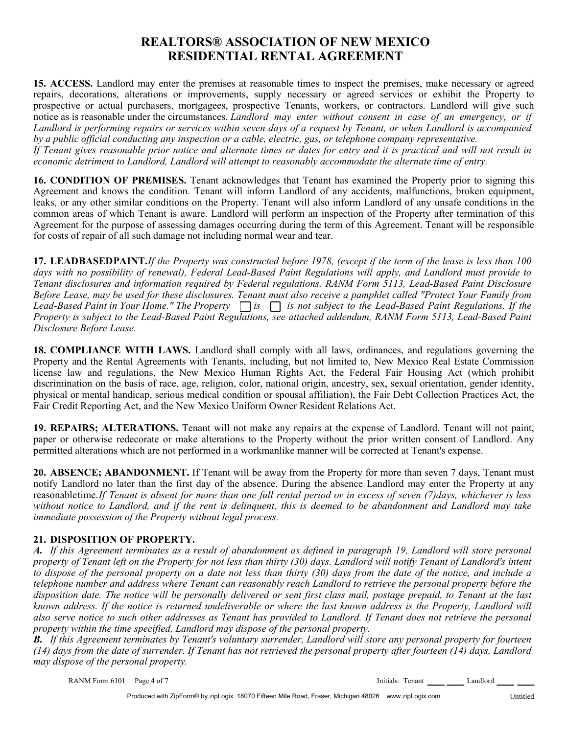**15. ACCESS.** Landlord may enter the premises at reasonable times to inspect the premises, make necessary or agreed repairs, decorations, alterations or improvements, supply necessary or agreed services or exhibit the Property to prospective or actual purchasers, mortgagees, prospective Tenants, workers, or contractors. Landlord will give such notice as is reasonable under the circumstances. *Landlord may enter without consent in case of an emergency, or if Landlord is performing repairs or services within seven days of a request by Tenant, or when Landlord is accompanied by a public official conducting any inspection or a cable, electric, gas, or telephone company representative. If Tenant gives reasonable prior notice and alternate times or dates for entry and it is practical and will not result in economic detriment to Landlord, Landlord will attempt to reasonably accommodate the alternate time of entry.*

**16. CONDITION OF PREMISES.** Tenant acknowledges that Tenant has examined the Property prior to signing this Agreement and knows the condition. Tenant will inform Landlord of any accidents, malfunctions, broken equipment, leaks, or any other similar conditions on the Property. Tenant will also inform Landlord of any unsafe conditions in the common areas of which Tenant is aware. Landlord will perform an inspection of the Property after termination of this Agreement for the purpose of assessing damages occurring during the term of this Agreement. Tenant will be responsible for costs of repair of all such damage not including normal wear and tear.

**17. LEAD BASED PAINT.** *If the Property was constructed before 1978, (except if the term of the lease is less than 100 days with no possibility of renewal), Federal Lead-Based Paint Regulations will apply, and Landlord must provide to Tenant disclosures and information required by Federal regulations. RANM Form 5113, Lead-Based Paint Disclosure Before Lease, may be used for these disclosures. Tenant must also receive a pamphlet called "Protect Your Family from Property is subject to the Lead-Based Paint Regulations, see attached addendum, RANM Form 5113, Lead-Based Paint Disclosure Before Lease. Lead-Based Paint in Your Home." The Property is is not subject to the Lead-Based Paint Regulations. If the*

**18. COMPLIANCE WITH LAWS.** Landlord shall comply with all laws, ordinances, and regulations governing the Property and the Rental Agreements with Tenants, including, but not limited to, New Mexico Real Estate Commission license law and regulations, the New Mexico Human Rights Act, the Federal Fair Housing Act (which prohibit discrimination on the basis of race, age, religion, color, national origin, ancestry, sex, sexual orientation, gender identity, physical or mental handicap, serious medical condition or spousal affiliation), the Fair Debt Collection Practices Act, the Fair Credit Reporting Act, and the New Mexico Uniform Owner Resident Relations Act.

**19. REPAIRS; ALTERATIONS.** Tenant will not make any repairs at the expense of Landlord. Tenant will not paint, paper or otherwise redecorate or make alterations to the Property without the prior written consent of Landlord. Any permitted alterations which are not performed in a workmanlike manner will be corrected at Tenant's expense.

**20. ABSENCE; ABANDONMENT.** If Tenant will be away from the Property for more than seven 7 days, Tenant must notify Landlord no later than the first day of the absence. During the absence Landlord may enter the Property at any reasonable time.*If Tenant is absent for more than one full rental period or in excess of seven (7)days, whichever is less without notice to Landlord, and if the rent is delinquent, this is deemed to be abandonment and Landlord may take immediate possession of the Property without legal process.*

#### **21. DISPOSITION OF PROPERTY.**

*A. If this Agreement terminates as a result of abandonment as defined in paragraph 19, Landlord will store personal property of Tenant left on the Property for not less than thirty (30) days. Landlord will notify Tenant of Landlord's intent to dispose of the personal property on a date not less than thirty (30) days from the date of the notice, and include a telephone number and address where Tenant can reasonably reach Landlord to retrieve the personal property before the disposition date. The notice will be personally delivered or sent first class mail, postage prepaid, to Tenant at the last known address. If the notice is returned undeliverable or where the last known address is the Property, Landlord will also serve notice to such other addresses as Tenant has provided to Landlord. If Tenant does not retrieve the personal property within the time specified, Landlord may dispose of the personal property.*

*B. If this Agreement terminates by Tenant's voluntary surrender, Landlord will store any personal property for fourteen (14) days from the date of surrender. If Tenant has not retrieved the personal property after fourteen (14) days, Landlord may dispose of the personal property.*

RANM Form 6101 Page 4 of 7

Initials: Tenant \_\_\_\_\_ \_\_\_\_\_ Landlord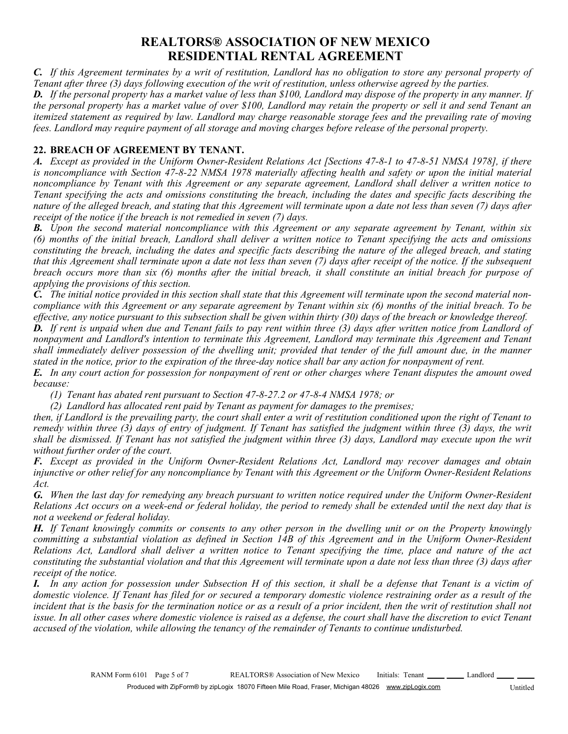*C. If this Agreement terminates by a writ of restitution, Landlord has no obligation to store any personal property of Tenant after three (3) days following execution of the writ of restitution, unless otherwise agreed by the parties.*

*D. If the personal property has a market value of less than \$100, Landlord may dispose of the property in any manner. If the personal property has a market value of over \$100, Landlord may retain the property or sell it and send Tenant an itemized statement as required by law. Landlord may charge reasonable storage fees and the prevailing rate of moving fees. Landlord may require payment of all storage and moving charges before release of the personal property.*

#### **22. BREACH OF AGREEMENT BY TENANT.**

*A. Except as provided in the Uniform Owner-Resident Relations Act [Sections 47-8-1 to 47-8-51 NMSA 1978], if there is noncompliance with Section 47-8-22 NMSA 1978 materially affecting health and safety or upon the initial material noncompliance by Tenant with this Agreement or any separate agreement, Landlord shall deliver a written notice to Tenant specifying the acts and omissions constituting the breach, including the dates and specific facts describing the nature of the alleged breach, and stating that this Agreement will terminate upon a date not less than seven (7) days after receipt of the notice if the breach is not remedied in seven (7) days.*

*B. Upon the second material noncompliance with this Agreement or any separate agreement by Tenant, within six (6) months of the initial breach, Landlord shall deliver a written notice to Tenant specifying the acts and omissions constituting the breach, including the dates and specific facts describing the nature of the alleged breach, and stating that this Agreement shall terminate upon a date not less than seven (7) days after receipt of the notice. If the subsequent breach occurs more than six (6) months after the initial breach, it shall constitute an initial breach for purpose of applying the provisions of this section.*

*C. The initial notice provided in this section shall state that this Agreement will terminate upon the second material noncompliance with this Agreement or any separate agreement by Tenant within six (6) months of the initial breach. To be effective, any notice pursuant to this subsection shall be given within thirty (30) days of the breach or knowledge thereof. D. If rent is unpaid when due and Tenant fails to pay rent within three (3) days after written notice from Landlord of nonpayment and Landlord's intention to terminate this Agreement, Landlord may terminate this Agreement and Tenant shall immediately deliver possession of the dwelling unit; provided that tender of the full amount due, in the manner stated in the notice, prior to the expiration of the three-day notice shall bar any action for nonpayment of rent.*

*E. In any court action for possession for nonpayment of rent or other charges where Tenant disputes the amount owed because:*

*(1) Tenant has abated rent pursuant to Section 47-8-27.2 or 47-8-4 NMSA 1978; or*

*(2) Landlord has allocated rent paid by Tenant as payment for damages to the premises;*

*then, if Landlord is the prevailing party, the court shall enter a writ of restitution conditioned upon the right of Tenant to remedy within three (3) days of entry of judgment. If Tenant has satisfied the judgment within three (3) days, the writ shall be dismissed. If Tenant has not satisfied the judgment within three (3) days, Landlord may execute upon the writ without further order of the court.*

*F. Except as provided in the Uniform Owner-Resident Relations Act, Landlord may recover damages and obtain injunctive or other relief for any noncompliance by Tenant with this Agreement or the Uniform Owner-Resident Relations Act.*

*G. When the last day for remedying any breach pursuant to written notice required under the Uniform Owner-Resident Relations Act occurs on a week-end or federal holiday, the period to remedy shall be extended until the next day that is not a weekend or federal holiday.*

*H. If Tenant knowingly commits or consents to any other person in the dwelling unit or on the Property knowingly committing a substantial violation as defined in Section 14B of this Agreement and in the Uniform Owner-Resident Relations Act, Landlord shall deliver a written notice to Tenant specifying the time, place and nature of the act constituting the substantial violation and that this Agreement will terminate upon a date not less than three (3) days after receipt of the notice.*

*I. In any action for possession under Subsection H of this section, it shall be a defense that Tenant is a victim of domestic violence. If Tenant has filed for or secured a temporary domestic violence restraining order as a result of the incident that is the basis for the termination notice or as a result of a prior incident, then the writ of restitution shall not issue. In all other cases where domestic violence is raised as a defense, the court shall have the discretion to evict Tenant accused of the violation, while allowing the tenancy of the remainder of Tenants to continue undisturbed.*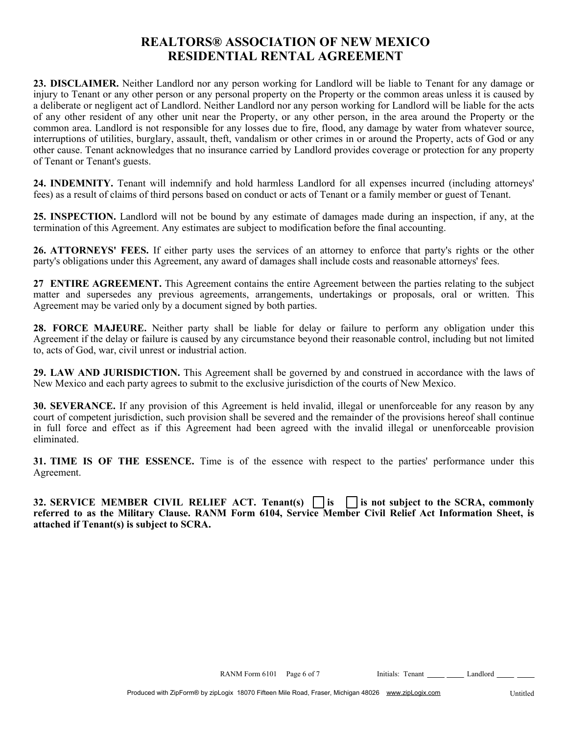**23. DISCLAIMER.** Neither Landlord nor any person working for Landlord will be liable to Tenant for any damage or injury to Tenant or any other person or any personal property on the Property or the common areas unless it is caused by a deliberate or negligent act of Landlord. Neither Landlord nor any person working for Landlord will be liable for the acts of any other resident of any other unit near the Property, or any other person, in the area around the Property or the common area. Landlord is not responsible for any losses due to fire, flood, any damage by water from whatever source, interruptions of utilities, burglary, assault, theft, vandalism or other crimes in or around the Property, acts of God or any other cause. Tenant acknowledges that no insurance carried by Landlord provides coverage or protection for any property of Tenant or Tenant's guests.

**24. INDEMNITY.** Tenant will indemnify and hold harmless Landlord for all expenses incurred (including attorneys' fees) as a result of claims of third persons based on conduct or acts of Tenant or a family member or guest of Tenant.

**25. INSPECTION.** Landlord will not be bound by any estimate of damages made during an inspection, if any, at the termination of this Agreement. Any estimates are subject to modification before the final accounting.

**26. ATTORNEYS' FEES.** If either party uses the services of an attorney to enforce that party's rights or the other party's obligations under this Agreement, any award of damages shall include costs and reasonable attorneys' fees.

**27 ENTIRE AGREEMENT.** This Agreement contains the entire Agreement between the parties relating to the subject matter and supersedes any previous agreements, arrangements, undertakings or proposals, oral or written. This Agreement may be varied only by a document signed by both parties.

**28. FORCE MAJEURE.** Neither party shall be liable for delay or failure to perform any obligation under this Agreement if the delay or failure is caused by any circumstance beyond their reasonable control, including but not limited to, acts of God, war, civil unrest or industrial action.

**29. LAW AND JURISDICTION.** This Agreement shall be governed by and construed in accordance with the laws of New Mexico and each party agrees to submit to the exclusive jurisdiction of the courts of New Mexico.

**30. SEVERANCE.** If any provision of this Agreement is held invalid, illegal or unenforceable for any reason by any court of competent jurisdiction, such provision shall be severed and the remainder of the provisions hereof shall continue in full force and effect as if this Agreement had been agreed with the invalid illegal or unenforceable provision eliminated.

**31. TIME IS OF THE ESSENCE.** Time is of the essence with respect to the parties' performance under this Agreement.

**32. SERVICE MEMBER CIVIL RELIEF ACT. Tenant(s)**  $\Box$  **is**  $\Box$  **is not subject to the SCRA, commonly referred to as the Military Clause. RANM Form 6104, Service Member Civil Relief Act Information Sheet, is attached if Tenant(s) is subject to SCRA.**